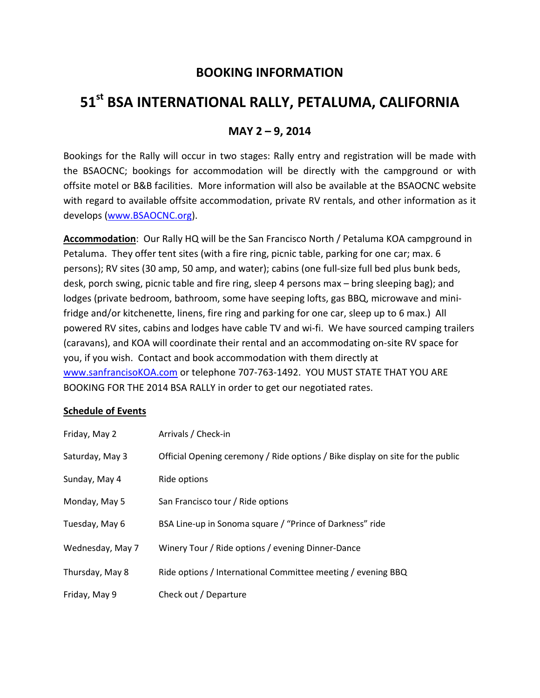## **BOOKING INFORMATION**

# **51st BSA INTERNATIONAL RALLY, PETALUMA, CALIFORNIA**

### **MAY 2 – 9, 2014**

Bookings for the Rally will occur in two stages: Rally entry and registration will be made with the BSAOCNC; bookings for accommodation will be directly with the campground or with offsite motel or B&B facilities. More information will also be available at the BSAOCNC website with regard to available offsite accommodation, private RV rentals, and other information as it develops (www.BSAOCNC.org).

**Accommodation**: Our Rally HQ will be the San Francisco North / Petaluma KOA campground in Petaluma. They offer tent sites (with a fire ring, picnic table, parking for one car; max. 6 persons); RV sites (30 amp, 50 amp, and water); cabins (one full-size full bed plus bunk beds, desk, porch swing, picnic table and fire ring, sleep 4 persons max – bring sleeping bag); and lodges (private bedroom, bathroom, some have seeping lofts, gas BBQ, microwave and minifridge and/or kitchenette, linens, fire ring and parking for one car, sleep up to 6 max.) All powered RV sites, cabins and lodges have cable TV and wi-fi. We have sourced camping trailers (caravans), and KOA will coordinate their rental and an accommodating on-site RV space for you, if you wish. Contact and book accommodation with them directly at www.sanfrancisoKOA.com or telephone 707-763-1492. YOU MUST STATE THAT YOU ARE BOOKING FOR THE 2014 BSA RALLY in order to get our negotiated rates.

#### **Schedule of Events**

| Friday, May 2    | Arrivals / Check-in                                                            |
|------------------|--------------------------------------------------------------------------------|
| Saturday, May 3  | Official Opening ceremony / Ride options / Bike display on site for the public |
| Sunday, May 4    | Ride options                                                                   |
| Monday, May 5    | San Francisco tour / Ride options                                              |
| Tuesday, May 6   | BSA Line-up in Sonoma square / "Prince of Darkness" ride                       |
| Wednesday, May 7 | Winery Tour / Ride options / evening Dinner-Dance                              |
| Thursday, May 8  | Ride options / International Committee meeting / evening BBQ                   |
| Friday, May 9    | Check out / Departure                                                          |